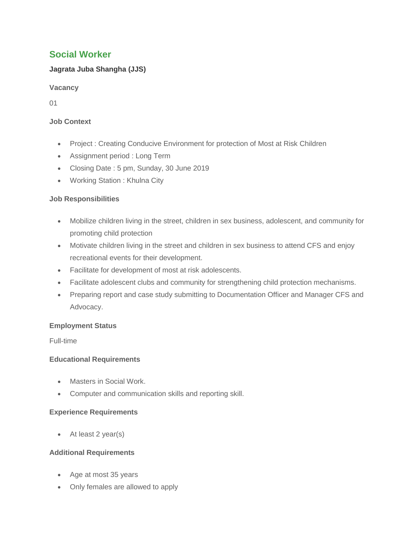# **Social Worker**

## **Jagrata Juba Shangha (JJS)**

**Vacancy**

01

### **Job Context**

- Project : Creating Conducive Environment for protection of Most at Risk Children
- Assignment period : Long Term
- Closing Date : 5 pm, Sunday, 30 June 2019
- Working Station : Khulna City

## **Job Responsibilities**

- Mobilize children living in the street, children in sex business, adolescent, and community for promoting child protection
- Motivate children living in the street and children in sex business to attend CFS and enjoy recreational events for their development.
- Facilitate for development of most at risk adolescents.
- Facilitate adolescent clubs and community for strengthening child protection mechanisms.
- Preparing report and case study submitting to Documentation Officer and Manager CFS and Advocacy.

#### **Employment Status**

Full-time

#### **Educational Requirements**

- Masters in Social Work.
- Computer and communication skills and reporting skill.

#### **Experience Requirements**

At least 2 year(s)

#### **Additional Requirements**

- Age at most 35 years
- Only females are allowed to apply